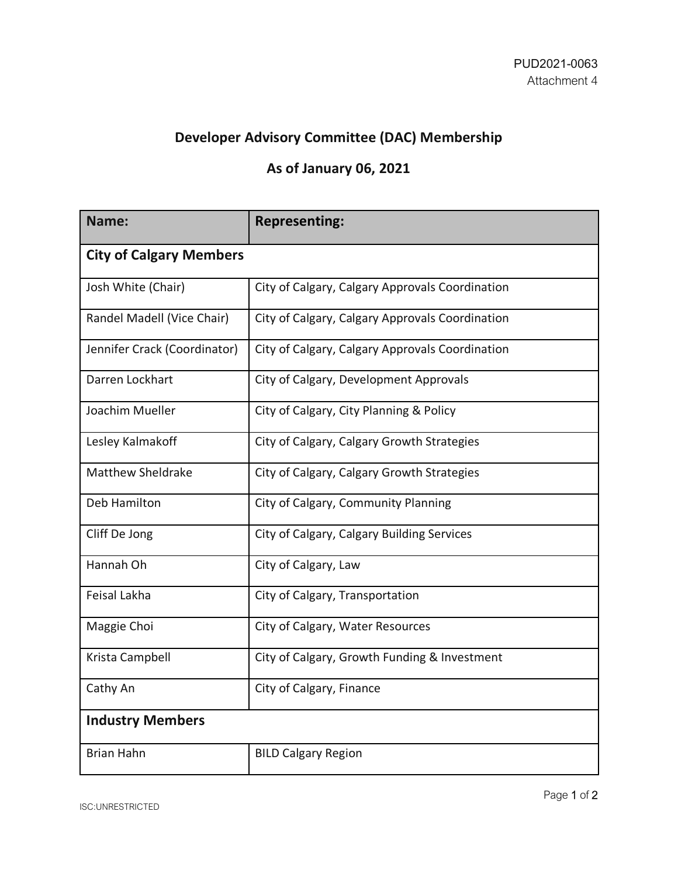## **Developer Advisory Committee (DAC) Membership**

## **As of January 06, 2021**

| Name:                          | <b>Representing:</b>                            |
|--------------------------------|-------------------------------------------------|
| <b>City of Calgary Members</b> |                                                 |
| Josh White (Chair)             | City of Calgary, Calgary Approvals Coordination |
| Randel Madell (Vice Chair)     | City of Calgary, Calgary Approvals Coordination |
| Jennifer Crack (Coordinator)   | City of Calgary, Calgary Approvals Coordination |
| Darren Lockhart                | City of Calgary, Development Approvals          |
| Joachim Mueller                | City of Calgary, City Planning & Policy         |
| Lesley Kalmakoff               | City of Calgary, Calgary Growth Strategies      |
| <b>Matthew Sheldrake</b>       | City of Calgary, Calgary Growth Strategies      |
| Deb Hamilton                   | City of Calgary, Community Planning             |
| Cliff De Jong                  | City of Calgary, Calgary Building Services      |
| Hannah Oh                      | City of Calgary, Law                            |
| <b>Feisal Lakha</b>            | City of Calgary, Transportation                 |
| Maggie Choi                    | City of Calgary, Water Resources                |
| Krista Campbell                | City of Calgary, Growth Funding & Investment    |
| Cathy An                       | City of Calgary, Finance                        |
| <b>Industry Members</b>        |                                                 |
| <b>Brian Hahn</b>              | <b>BILD Calgary Region</b>                      |